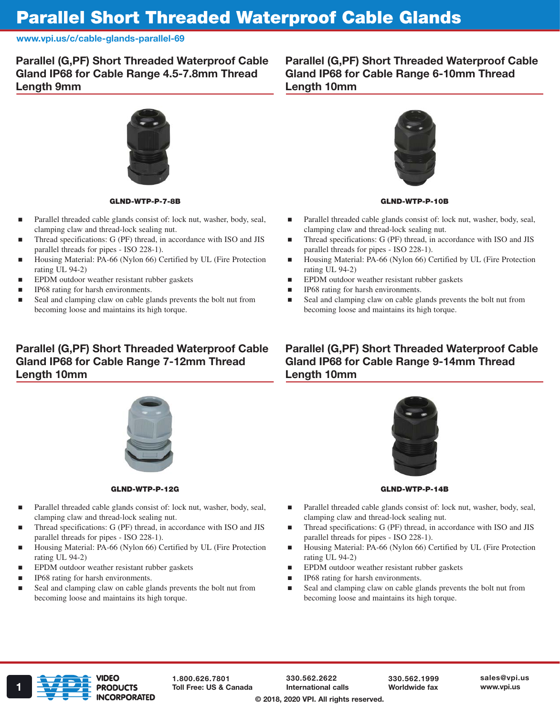## Parallel Short Threaded Waterproof Cable Glands

www.vpi.us/c/cable-glands-parallel-69

Parallel (G,PF) Short Threaded Waterproof Cable Gland IP68 for Cable Range 4.5-7.8mm Thread Length 9mm

Parallel (G,PF) Short Threaded Waterproof Cable Gland IP68 for Cable Range 6-10mm Thread Length 10mm



#### GLND-WTP-P-7-8B

- Parallel threaded cable glands consist of: lock nut, washer, body, seal, clamping claw and thread-lock sealing nut.
- Thread specifications: G (PF) thread, in accordance with ISO and JIS parallel threads for pipes - ISO 228-1).
- Housing Material: PA-66 (Nylon 66) Certified by UL (Fire Protection rating UL 94-2)
- EPDM outdoor weather resistant rubber gaskets
- IP68 rating for harsh environments.
- Seal and clamping claw on cable glands prevents the bolt nut from becoming loose and maintains its high torque.

## Parallel (G,PF) Short Threaded Waterproof Cable Gland IP68 for Cable Range 7-12mm Thread Length 10mm



#### GLND-WTP-P-12G

- Parallel threaded cable glands consist of: lock nut, washer, body, seal, clamping claw and thread-lock sealing nut.
- Thread specifications: G (PF) thread, in accordance with ISO and JIS parallel threads for pipes - ISO 228-1).
- Housing Material: PA-66 (Nylon 66) Certified by UL (Fire Protection rating UL 94-2)
- EPDM outdoor weather resistant rubber gaskets
- IP68 rating for harsh environments.
- Seal and clamping claw on cable glands prevents the bolt nut from becoming loose and maintains its high torque.



#### GLND-WTP-P-10B

- Parallel threaded cable glands consist of: lock nut, washer, body, seal, clamping claw and thread-lock sealing nut.
- Thread specifications: G (PF) thread, in accordance with ISO and JIS parallel threads for pipes - ISO 228-1).
- Housing Material: PA-66 (Nylon 66) Certified by UL (Fire Protection rating UL 94-2)
- **EPDM** outdoor weather resistant rubber gaskets
- **IP68** rating for harsh environments.
- Seal and clamping claw on cable glands prevents the bolt nut from becoming loose and maintains its high torque.

### Parallel (G,PF) Short Threaded Waterproof Cable Gland IP68 for Cable Range 9-14mm Thread Length 10mm



GLND-WTP-P-14B

- Parallel threaded cable glands consist of: lock nut, washer, body, seal, clamping claw and thread-lock sealing nut.
- Thread specifications: G (PF) thread, in accordance with ISO and JIS parallel threads for pipes - ISO 228-1).
- Housing Material: PA-66 (Nylon 66) Certified by UL (Fire Protection rating UL 94-2)
- EPDM outdoor weather resistant rubber gaskets
- IP68 rating for harsh environments.
- Seal and clamping claw on cable glands prevents the bolt nut from becoming loose and maintains its high torque.



1.800.626.7801

330.562.2622 International calls